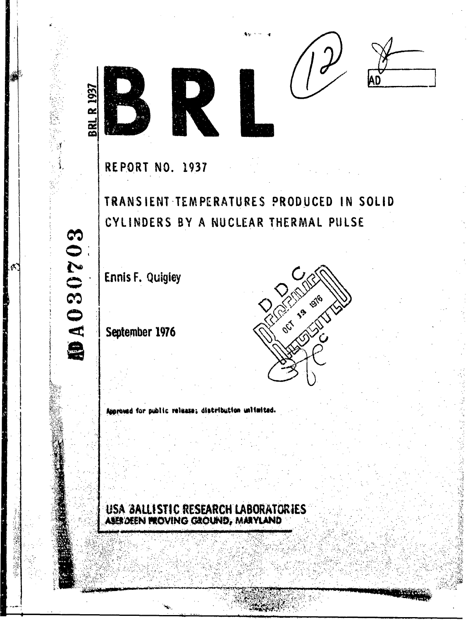





**REPORT NO. 1937** 

**BRL R 193** 

DA030703

TRANSIENT TEMPERATURES PRODUCED IN SOLID CYLINDERS BY A NUCLEAR THERMAL PULSE

**Ennis F. Quigley** 

September 1976



Approved for public release; distribution unitaited.

USA BALLISTIC RESEARCH LABORATORIES ABER DEEN PROVING GROUND, MARYLAND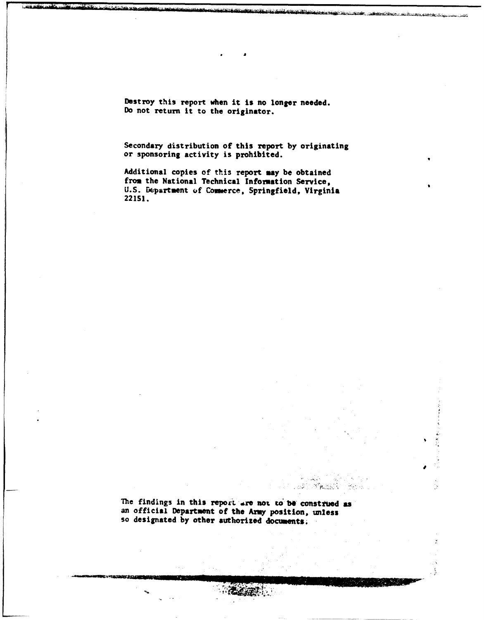Destroy this report when it is no longer needed. Do not return it to the originator.

Secondary distribution of this report by originating or sponsoring activity is prohibited.

Additional copies of this report **may** be obtained from the National Technical Information Service, U.S. Department of Commerce, Springfield, Virginia 221S1.

The findings in this report are not to be construed as an official Department of the Army position, unless so designated by other authorized documents;

 $\mathcal{F}_{\mathcal{B}_n}$ 

-82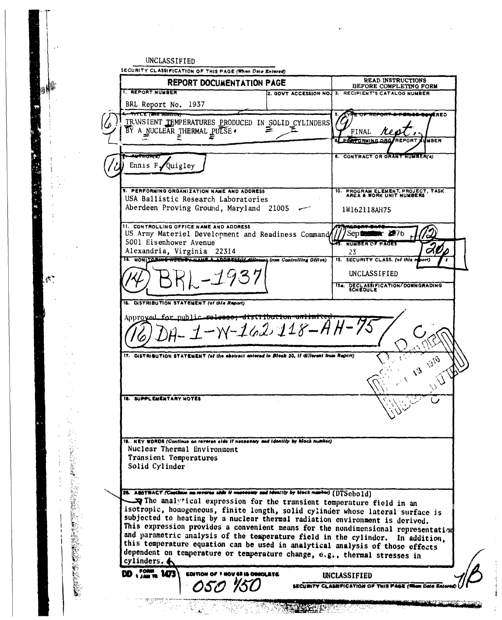|                |                                                | SECURITY CLASSIFICATION OF THIS PAGE (When Data Entered)<br><b>REPORT DOCUMENTATION PAGE</b>                           | <b>READ INSTRUCTIONS</b><br>BEFORE COMPLETING FORM                                                                                                                  |
|----------------|------------------------------------------------|------------------------------------------------------------------------------------------------------------------------|---------------------------------------------------------------------------------------------------------------------------------------------------------------------|
|                | <b>1. REPORT NUMBER</b><br>BRL Report No. 1937 |                                                                                                                        | 2. GOVT ACCESSION NO. 3. RECIPIENT'S CATALOG NUMBER                                                                                                                 |
|                | १९८९ र मार्च जीवराती                           |                                                                                                                        | ERED                                                                                                                                                                |
|                |                                                | TRANSIENT TEMPERATURES PRODUCED IN SOLID CYLINDERS                                                                     |                                                                                                                                                                     |
|                | ΒÝ                                             | A NUCLEAR THERMAL PULSE .                                                                                              | FINAL                                                                                                                                                               |
|                |                                                |                                                                                                                        | <b>PERFORMING ORGA</b><br><b>REPORT</b><br>UMBER                                                                                                                    |
|                | mulity                                         |                                                                                                                        | 8. CONTRACT OR GRANT NUMBER(4)                                                                                                                                      |
|                | Ennis $F\sqrt{Q}$ uigley                       |                                                                                                                        |                                                                                                                                                                     |
|                |                                                |                                                                                                                        |                                                                                                                                                                     |
|                |                                                | 9. PERFORMING ORGANIZATION NAME AND ADDRESS                                                                            |                                                                                                                                                                     |
|                |                                                | USA Ballistic Research Laboratories                                                                                    | 10. PROGRAM ELEMENT, PROJECT, TASK AREA & WORK UNIT NUMBERS                                                                                                         |
|                |                                                | Aberdeen Proving Ground, Maryland 21005                                                                                | 1W162118AH75                                                                                                                                                        |
|                |                                                |                                                                                                                        |                                                                                                                                                                     |
|                |                                                | 11. CONTROLLING OFFICE NAME AND ADDRESS<br>US Army Materiel Development and Readiness Command                          | September 2076                                                                                                                                                      |
|                | 5001 Eisenhower Avenue                         |                                                                                                                        | <b>45. NUMBER OF PAGES</b>                                                                                                                                          |
|                | Alexandria, Virginia 22314                     |                                                                                                                        | 23                                                                                                                                                                  |
|                |                                                | MONITORING ROCKS WAME A ADDRESS IL Alloway from Controlling Office)                                                    | 15. SECURITY CLASS. (of this report)                                                                                                                                |
|                |                                                |                                                                                                                        | UNCLASSIFIED                                                                                                                                                        |
|                |                                                |                                                                                                                        | 15. DECLASSIFICATION/DOWNGRADING                                                                                                                                    |
|                |                                                |                                                                                                                        |                                                                                                                                                                     |
|                |                                                | 16. DISTRIBUTION STATEMENT (of this Report)                                                                            |                                                                                                                                                                     |
|                |                                                | $1 - W - 162 + 18 - A$<br>17.   DISTRIBUTION STATEMENT (of the abstract antered in Block 20, If different from Report) |                                                                                                                                                                     |
|                | <b>18. SUPPLEMENTARY NOTES</b>                 |                                                                                                                        | <b>DOB</b>                                                                                                                                                          |
|                |                                                |                                                                                                                        |                                                                                                                                                                     |
|                |                                                | 19. KEY WORDS (Continue on reverse aide if necessary and identity by block number)                                     |                                                                                                                                                                     |
|                | Transient Temperatures                         | Nuclear Thermal Environment                                                                                            |                                                                                                                                                                     |
|                | Solid Cylinder                                 |                                                                                                                        |                                                                                                                                                                     |
|                |                                                |                                                                                                                        |                                                                                                                                                                     |
|                |                                                | 25. ABSTRACT (Continue as reverse side if necessary and identity by block number) (DTSebold)                           |                                                                                                                                                                     |
| <b>1992年1月</b> |                                                |                                                                                                                        | The analytical expression for the transient temperature field in an                                                                                                 |
|                |                                                |                                                                                                                        | isotropic, homogeneous, finite length, solid cylinder whose lateral surface is                                                                                      |
|                |                                                |                                                                                                                        | subjected to heating by a nuclear thermal radiation environment is derived.                                                                                         |
|                |                                                |                                                                                                                        | This expression provides a convenient means for the nondimensional representation<br>and parametric analysis of the temperature field in the cylinder. In addition. |
|                |                                                |                                                                                                                        | this temperature equation can be used in analytical analysis of those effects                                                                                       |
|                | cylinders. $\spadesuit$                        |                                                                                                                        | dependent on temperature or temperature change, e.g., thermal stresses in                                                                                           |
|                |                                                |                                                                                                                        |                                                                                                                                                                     |
|                |                                                | EDITION OF THOV 45 IS OBJOLETE                                                                                         | UNCLASSIFIED                                                                                                                                                        |
| 化学生 医无线性       |                                                | OSO 150                                                                                                                | SECURITY CLASSIFICATION OF THIS PAGE (Rem Data                                                                                                                      |

 $\mathcal{L}$ 

 $\sim 10$ 

 $\label{eq:2.1} \mathcal{A}=\{x_{1},\ldots,x_{n}\} \cup \{x_{n}\} \cup \{x_{n}\} \cup \{x_{n}\}$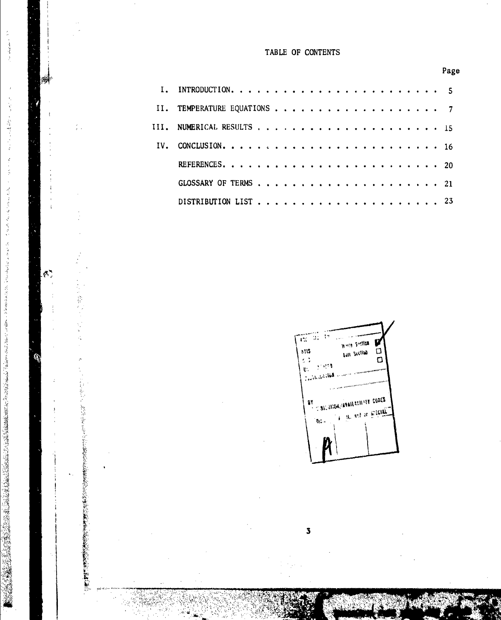## TABLE OF **CONTENTS**

 $\label{eq:1} \mathcal{L}_{\text{max}}(\mathbf{r},\mathbf{r}) = \mathcal{L}_{\text{max}}(\mathbf{r},\mathbf{r})$ 

 $\rightarrow$ 

癬

 $\frac{2}{k+1}$ 

 $\mathfrak{S}$  ,

Ø

þ,

Page



**3**

**0-**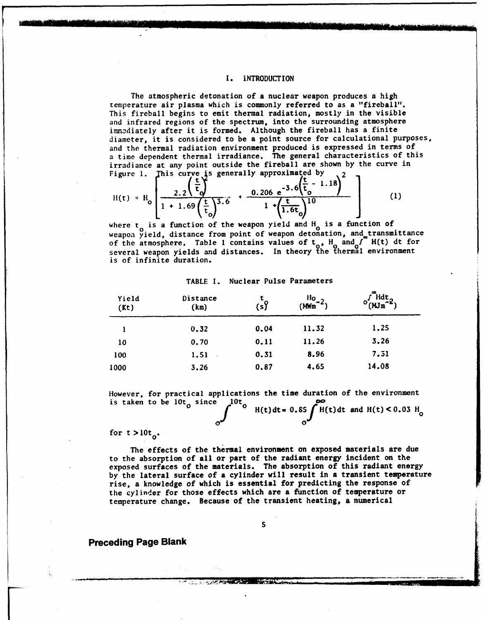## I. INTRODUCTION

The atmospheric detonation of a nuclear weapon produces a high temperature air plasma which is commonly referred to as a "fireball". This fireball begins to emit thermal radiation, mostly in the visible and infrared regions of the spectrum, into the surrounding atmosphere immcdiately after it is formed. Although the fireball has a finite diameter, it is considered to be a point source for calculational purposes, and the thermal radiation environment produced is expressed in terms of a time dependent thermal irradiance. The general characteristics of this irradiance at any point outside the fireball are shown by the curve in Figure 1. This curve is generally approximated by  $\frac{2}{2}$ 

$$
H(t) = H_0 \left[ \frac{2.2 \left( \frac{t}{t_0} \right)}{1 + 1.69 \left( \frac{t}{t_0} \right)^3 \cdot 6} + \frac{0.206 e^{-3.6 \left( \frac{t}{t_0} - 1.18 \right)}}{1 + \left( \frac{t}{1.6t_0} \right)^{10}} \right]
$$
(1)

where  $t_0$  is a function of the weapon yield and  $H_0$  is a function of weapon yield, distance from point of weapon detonation, and transmittance of the atmosphere. Table 1 contains values of  $t_0$ ,  $H_0$  and  $f^{\circ}$  H(t) dt for several weapon yields and distances. In theory the thermal environmen is of infinite duration.

## TABLE **1.** Nuclear Pulse Parameters

| Yield<br>(Kt) | Distance<br>(kn) | $\overline{\mathfrak{sl}}$ | $\frac{H_0}{2}$<br>(MWm) | $"$ Hdt.<br>$^{\circ}$ (MJm |
|---------------|------------------|----------------------------|--------------------------|-----------------------------|
|               | 0.32             | 0.04                       | 11.32                    | 1.25                        |
| 10            | 0.70             | 0.11                       | 11.26                    | 3.26                        |
| 100           | 1.51             | 0.31                       | 8.96                     | 7.51                        |
| 1000          | 3.26             | 0.87                       | 4.65                     | 14.08                       |

However, for practical applications the time duration of the environment is taken to be  $10t_0$  since  $\int_0^{10t}$  **H**(t)dt= 0.85

 $H(t)dt$  and  $H(t) < 0.03$   $H_0$ **0 0 0** 

for  $t > 10t_0$ .

The effects of the thermal environment on exposed materials are due to the absorption of all or part of the radiant energy incident on the exposed surfaces of the materials. The absorption of this radiant energy by the lateral surface of a cylinder will result in a transient temperature rise, a knowledge of which is essential for predicting the response of the cylinder for those effects which are a function of temperature or temperature change. Because of the transient heating, a numerical

**S**

F... .... ....... -;.• • • , " -,',"- " '' .i '. , , , , -

Preceding Page Blank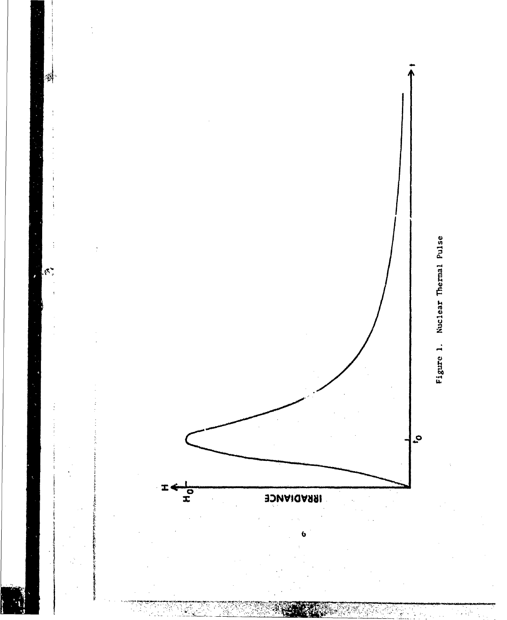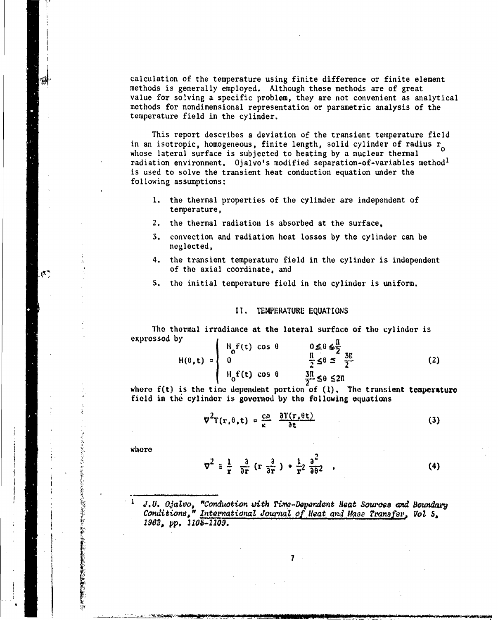calculation of the temperature using finite difference or finite element methods is generally employed. Although these methods are of great value for solving a specific problem, they are not convenient as analytical methods for nondimensional representation or parametric analysis of the temperature field in the cylinder.

This report describes a deviation of the transient temperature field in an isotropic, homogeneous, finite length, solid cylinder of radius  $r_0$ whose lateral surface is subjected to heating by a nuclear thermal radiation environment. Oialvo's modified separation-of-variables method<sup>1</sup> is used to solve the transient heat conduction equation under the following assumptions:

- 1. the thermal properties of the cylinder are independent of temperature,
- 2. the thermal radiation is absorbed at the surface.
- 3. convection and radiation heat losses by the cylinder can be neglected,
- 4. the transient temperature field in the cylinder is independent of the axial coordinate, and
- 5. the initial temperature field in the cylinder is uniform.

## II. TEMPERATURE EQUATIONS

The thermal irradiance at the lateral surface of the cylinder is expressed by  $\mathbf{r}$ ñ.

| $H(\theta, t) =$ | $\mathcal{H}$ $f(t)$ cos $\theta$ | $0 \le 0 \le \frac{1}{2}$<br>$\frac{1}{2} \le 0 \le \frac{3!}{2}$ | 〔2〕 |
|------------------|-----------------------------------|-------------------------------------------------------------------|-----|
|                  | $H_0 f(t)$ cos $\theta$           | $\frac{3\pi}{2}$ \$ 6 \$ 20                                       |     |

where  $f(t)$  is the time dependent portion of  $(1)$ . The transient tomperature field in the cylinder is governed by the following equations

$$
\nabla^2 \mathbf{T}(\mathbf{r}, \theta, \mathbf{t}) = \frac{c\rho}{\kappa} \frac{\partial \mathbf{T}(\mathbf{r}, \theta \mathbf{t})}{\partial \mathbf{t}}
$$
 (3)

whore

 $\mathcal{L}$ 

$$
\nabla^2 = \frac{1}{r} - \frac{\partial}{\partial r} (r \frac{\partial}{\partial r}) + \frac{1}{r^2} \frac{\partial^2}{\partial \theta^2} ,
$$
 (4)

J.U. Ojalvo, "Conduction with Time-Dependent Heat Sources and Boundary Conditions," International Journal of Heat and Mass Transfer, Vol 5. 1962, pp. 1105-1109.

7.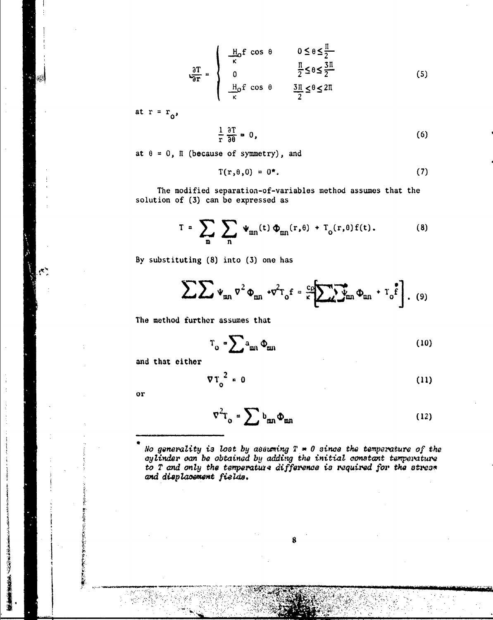$$
\frac{\partial T}{\partial r} = \begin{cases}\n\frac{H_0 f}{\kappa} \cos \theta & 0 \le \theta \le \frac{\pi}{2} \\
0 & \frac{\pi}{2} \le \theta \le \frac{3\pi}{2} \\
\frac{H_0 f}{\kappa} \cos \theta & \frac{3\pi}{2} \le \theta \le 2\pi\n\end{cases}
$$
\n(5)

at  $r = r_0$ ,

أينين

$$
\frac{1}{r}\frac{\partial T}{\partial \theta} = 0,
$$
 (6)

at  $\theta = 0$ ,  $\pi$  (because of symmetry), and

$$
T(r,\theta,0) = 0^*, \qquad (7)
$$

The modified separation-of-variables method assumes that the solution of (3) can be expressed as

$$
\Gamma = \sum_{m} \sum_{n} \Psi_{mn}(t) \Phi_{mn}(r,\theta) + T_0(r,\theta) f(t).
$$
 (8)

By substituting (8) into (3) one has

$$
\sum \sum \psi_{mn} \, \sigma^2 \, \Phi_{mn} \, \cdot \sigma^2 T_o f = \frac{c \rho}{\kappa} \left[ \sum \Psi_{mn} \, \Phi_{mn} \, \cdot \, T_o \, f \right]. \tag{9}
$$

The method further assumes that

$$
T_o = \sum a_{mn} \Phi_{mn} \tag{10}
$$

and that cither

$$
\nabla T_0^2 = 0 \tag{11}
$$

 $\alpha r$ 

「そのためのことをある」ということをする あんじゃく しゅうしょう しゅうしょう しゅうかん しゅうかん しゅうかい

**「大学のあるので、あるので、そのことをある」ということになる。 (人)の場合の** 

$$
\nabla^2 \mathbf{T}_0 = \sum \mathbf{b}_{mn} \Phi_{mn} \tag{12}
$$

No generality is lost by assuming  $T = 0$  since the temperature of the cylinder can be obtained by adding the initial constant temperature to  $T$  and only the temperature difference is required for the stress and displacement fields.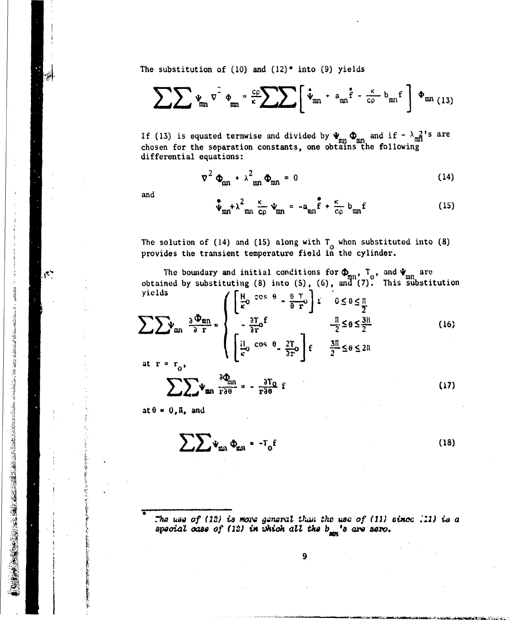The substitution of (10) and (12)\* into (9) yields

$$
\sum \sum \psi_{mn} \vec{v} \cdot \phi_{mn} = \frac{c\rho}{\kappa} \sum \sum \left[ \dot{\vec{v}}_{mn} + a_{mn} \dot{\vec{f}} - \frac{\kappa}{c\rho} b_{mn} \vec{f} \right] \phi_{mn} (13)
$$

If (13) is equated termwise and divided by  $\Psi_{mn} \Phi_{mn}$  and if  $-\lambda_{mn}^2$ 's are chosen for the separation constants, one obtains the following differential equations:

$$
\nabla^2 \Phi_{mn} + \lambda_{mn}^2 \Phi_{mn} = 0
$$
 (14)

and

š,

 $\mathcal{C}$ 

1940年1941年

$$
\Phi_{mn} + \lambda^2_{mn} \frac{\kappa}{c\rho} \Psi_{mn} = -a_{mn} \mathbf{\hat{f}} + \frac{\kappa}{c\rho} b_{mn} \mathbf{f}
$$
 (15)

The solution of (14) and (15) along with  $T_o$  when substituted into (8) provides the transient temperature field in the cylinder.

The boundary and initial conditions for  $\Phi_{mn}$ ,  $T_o$ , and  $\Psi_{mn}$  are<br>obtained by substituting (8) into (5), (6), and (7). This substitution<br>yields<br> $\left(\begin{bmatrix} \frac{H}{K}o & cos\theta - \frac{\theta - T}{\theta - T} \end{bmatrix} \begin{bmatrix} \frac{\theta - T}{\theta} & 0 \leq \theta \leq \frac{\pi}{$ 

$$
\sum \sum \psi_{mn} \frac{\partial \Phi_{mn}}{\partial r} = \begin{cases} -\frac{\partial T_0 f}{\partial r} & \frac{\pi}{2} \leq \theta \leq \frac{3\pi}{2} \\ \left[\frac{11}{5} \cos \theta - \frac{2T}{2F} \right] f & \frac{3\pi}{2} \leq \theta \leq 2\pi \end{cases}
$$
(16)

at  $r = r_0$ ,

$$
\sum \frac{1}{2} \Psi_{\min} \frac{\partial \Phi_{\min}}{\partial \theta} = -\frac{\partial T_0}{\partial \theta} \hat{Y}
$$
 (17)

 $at \theta = 0$ ,  $\overline{n}$ , and

$$
\sum \sum \Psi_{mn} \Phi_{mn} = -T_0 f
$$
 (18)

The use of (12) is more general than the use of (11) since  $\therefore$  11) is a special case of (12) in which all the b<sub>en</sub>'s are sero.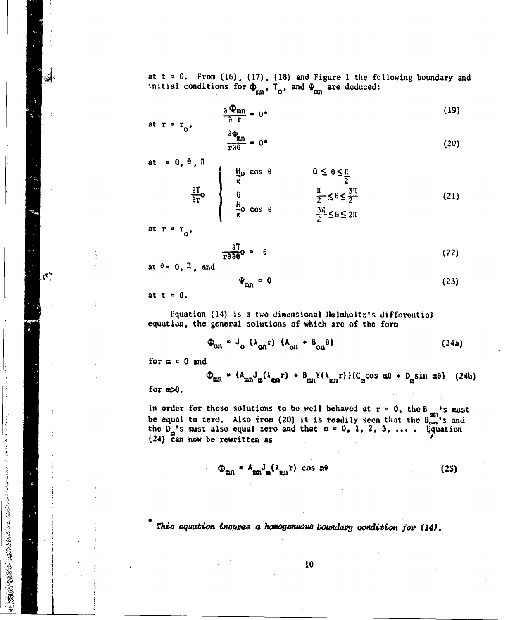at  $t = 0$ . From (16), (17), (18) and Figure 1 the following boundary and initial conditions for  $\Phi_{mn}$ ,  $T_o$ , and  $\Psi_{mn}$  are deduced:

$$
\frac{\partial \Phi_{mn}}{\partial r} = 0^* \tag{19}
$$

$$
\frac{\partial \Phi_{mn}}{\partial \theta} = 0 \tag{20}
$$

at = 0, 
$$
\theta
$$
,  $\Pi$   
\n
$$
\frac{\partial T}{\partial \mathbf{r}} \mathbf{o} \qquad \begin{cases}\n\frac{H_0}{\kappa} \cos \theta & 0 \le \theta \le \frac{\pi}{2} \\
0 & \frac{\pi}{2} \le \theta \le \frac{3\pi}{2} \\
\frac{H_0}{\kappa} \cos \theta & \frac{3\pi}{2} \le \theta \le 2\pi\n\end{cases}
$$
\n(21)

at  $r = r_0$ ,

at  $r = r_0$ ,

Ŵ

 $\mathcal{O}^{\frac{1}{2}}$ 

このことには、そのことに、このことをしているので、そのことに、このことに、このことには、このことには、このことには、このことには、このことには、このことには、このことには、このことには、このことには、

$$
\frac{\partial T}{\partial T \partial \theta} \bullet \quad \theta \tag{22}
$$

at  $\theta = 0$ ,  $\pi$ , and

$$
\Psi_{\rm mn} = 0 \tag{23}
$$

at  $t = 0$ .

Equation (14) is a two dimensional Helmholtz's differential equation, the general solutions of which are of the form

$$
\Phi_{\text{on}} = J_{\text{o}} \left( \lambda_{\text{on}} \mathbf{r} \right) \mathbf{t} \mathbf{A}_{\text{on}} + \mathbf{B}_{\text{on}} \mathbf{\theta} \tag{24a}
$$

for  $n = 0$  and

$$
\Phi_{mn} = (A_{mn}J_m(\lambda_{mn}r) + B_{mn}Y(\lambda_{mn}r)) (C_m \cos m\theta + D_m \sin m\theta) \quad (24b)
$$

for  $x \ge 0$ .

In order for these solutions to be well behaved at  $r = 0$ , the  $B_{cm}$  is must<br>be equal to zero. Also from (20) it is readily seen that the  $B_{cm}$  is and<br>the  $D_{m}$  is must also equal zero and that  $n = 0, 1, 2, 3, ...$ . Equat (24) Can now be rewritten as

$$
\Phi_{mn} = A_{mn} J_m (\lambda_{mn} r) \cos m\theta \qquad (25)
$$

This equation insures a homogeneous boundary condition for (14).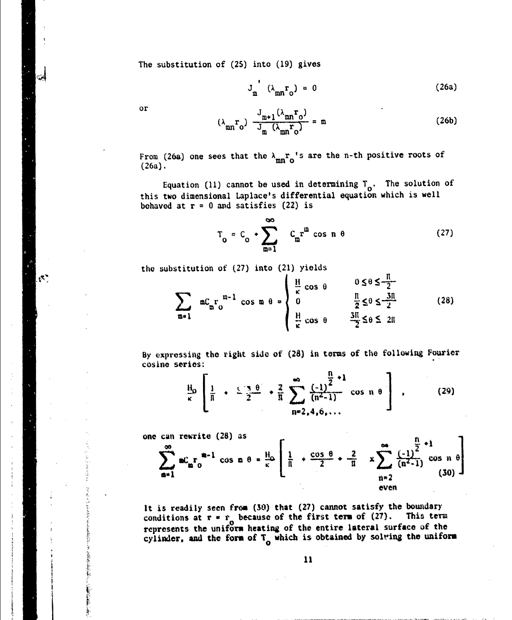The substitution of (25) into (19) gives

$$
J_{m}^{'} (\lambda_{mn} r_{o}) = 0
$$
 (26a)

ം

 $\kappa^{\star}$ 

 $\begin{array}{c} 1 \\ 2 \\ 3 \end{array}$ Å

or 
$$
(\lambda_{mn}r_0) \frac{J_{m+1}(\lambda_{mn}r_0)}{J_m(\lambda_{mn}r_0)} = m
$$
 (26b)

From (26a) one sees that the  $\lambda_{mn}r_{0}$ 's are the n-th positive roots of  $(26a)$ .  $\qquad \qquad \ldots$ 

Equation (11) cannot be used in determining  $T_{0}$ . The solution of this two dimensional Laplace's differential equation which is well behaved at  $r = 0$  and satisfies (22) is

$$
T_0 = C_0 \cdot \sum_{m=1}^{\infty} C_m r^m \cos n \theta \qquad (27)
$$

the substitution of (27) into (21) yields

$$
\sum_{m=1}^{\infty} nC_n r_0^{m-1} \cos m \theta = \begin{cases} \frac{H}{\kappa} \cos \theta & 0 \le \theta \le \frac{\pi}{2} \\ 0 & \frac{\pi}{2} \le \theta \le \frac{3\pi}{2} \\ \frac{H}{\kappa} \cos \theta & \frac{3\pi}{2} \le \theta \le 2\pi \end{cases}
$$
(28)

By expressing the right side of (28) in terms of the following Fourier cosine series:

$$
\frac{H_0}{\kappa} \left[ \frac{1}{\pi} + \frac{\sqrt{3} \theta}{2} + \frac{2}{\pi} \sum_{n=2,4,6,...}^{\infty} \frac{{\binom{n}{2}}^{2}+1}{(n^2-1)} \cos n \theta \right],
$$
 (29)

one can rewrite (28) as

**IDEの「IOO」ということが可能を認める場所ですが実現を提供され** 

**Contractor** 

 $\frac{1}{2}$ 

$$
\sum_{n=1}^{\infty} nC_n r_0^{m-1} \cos n \theta = \frac{\mu_0}{\kappa} \left[ \frac{1}{n} + \frac{\cos \theta}{2} + \frac{2}{\pi} \right] \times \sum_{\substack{n=2 \text{even}}}^{\infty} \frac{(-1)^{\frac{n}{2}+1}}{(n^2-1)} \cos n \theta \right]
$$

It is readily seen from (30) that (27) cannot satisfy the boundary conditions at  $\mathbf{r} \times \mathbf{r}$  because of the first term of (27). This term represents the uniform heating of the entire lateral surface of the cylinder, and the form of  $T_{\alpha}$  which is obtained by solving the uniform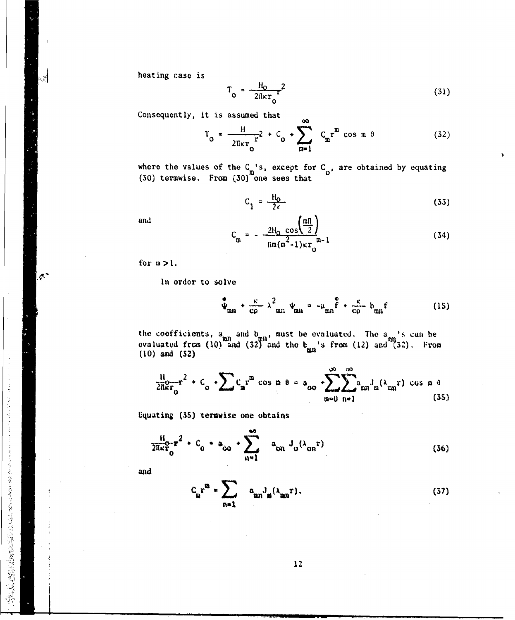heating case is

ा

 $\mathcal{E}$ 

- これには、このことにより、このことを見ると、そのことを見ることを、このことは、このことを、このことには、このことになっていることをしていることをしても、そのことを見ることを、このことを見ることをし

$$
T_o = \frac{H_0}{2\pi\kappa r_o^2} \tag{31}
$$

Consequently, it is assumed that

$$
T_o = \frac{H}{2\pi\kappa r_o}r^2 + C_o + \sum_{m=1}^{\infty} C_m r^m \cos m \theta
$$
 (32)

where the values of the  $C_m$ 's, except for  $C_o$ , are obtained by equating (30) termwise. From (30) one sees that

ൟ

$$
C_1 = \frac{H_0}{2\kappa} \tag{33}
$$

and

$$
C_{m} = -\frac{2H_{0} \cos(\frac{mT}{2})}{\pi m(m^{2}-1)\kappa r_{0}} n-1
$$
 (34)

for  $m > 1$ .

In order to solve

$$
\Psi_{mn} + \frac{\kappa}{c\rho} \lambda_{mn}^2 \Psi_{mn} = -a_{mn} \mathbf{\hat{f}} + \frac{\kappa}{c\rho} b_{mn} \mathbf{f}
$$
 (15)

the coefficients,  $a_{mn}$  and  $b_{mn}$ , must be evaluated. The  $a_{mn}$ 's can be evaluated from (10) and (32) and the  $b_{mn}$ 's from (12) and (32). From (10) and (32)

$$
\frac{11}{211kr_0}r^2 + C_0 \cdot \sum C_n r^m \cos n \theta = a_{00} \cdot \sum_{m=0}^{\infty} \sum_{n=1}^{\infty} a_{mn} I_m(\lambda_{mn}r) \cos n \theta
$$
\n(35)

Equating (35) termwise one obtains

$$
\frac{H}{2\pi\kappa r_0}r^2 + C_0 * a_{00} \cdot \sum_{n=1}^{\infty} a_{0n} J_0(\lambda_{0n}r)
$$
 (36)

and

$$
c_{\mathbf{n}} \mathbf{r}^{\mathbf{n}} = \sum_{\mathbf{n} = 1} a_{\mathbf{n}} \mathbf{J}_{\mathbf{n}}(\lambda_{\mathbf{n}} \mathbf{r}). \tag{37}
$$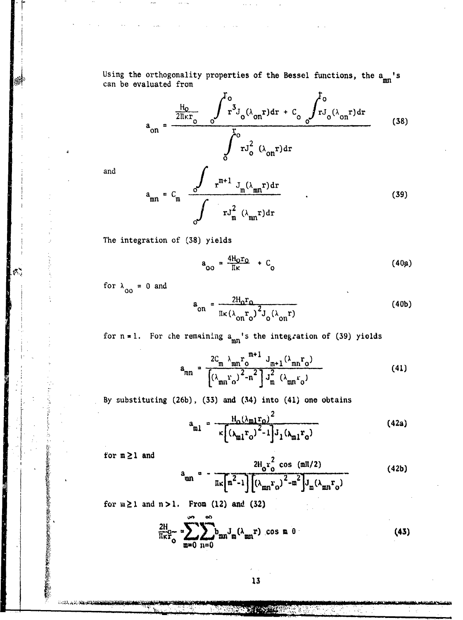Using the orthogonality properties of the Bessel functions, the  $a_{mn}$ 's can be evaluated from

$$
a_{on} = \frac{\frac{H_0}{2\pi\kappa r_0} \int_{0}^{10} r^3 J_0(\lambda_{on}r) dr + C_0 \int_{0}^{10} r J_0(\lambda_{on}r) dr}{\int_{0}^{10} r J_0^2 (\lambda_{on}r) dr}
$$
(38)

and

$$
a_{mn} = C_m \frac{\partial}{\partial r^{m+1} J_m(\lambda_{mn} r) dr}{\int r J_m^2 (\lambda_{mn} r) dr}
$$
 (39)

The integration of (38) yields

$$
a_{OO} = \frac{4H_0r_O}{\pi\kappa} + C_O \tag{40a}
$$

for  $\lambda_{00} = 0$  and

$$
a_{on} = \frac{2H_0r_0}{\pi\kappa(\lambda_{on}r_0)^2J_0(\lambda_{on}r)}
$$
(40b)

for  $n = 1$ . For the remaining  $a_{mn}$ 's the integration of (39) yields

$$
a_{mn} = \frac{2C_m \lambda_{mn} r_0^{m+1} J_{m+1} (\lambda_{mn} r_0)}{(\lambda_{mn} r_0)^2 - n^2 J_m^2 (\lambda_{mn} r_0)}
$$
(41)

By substituting (26b), (33) and (34) into (41) one obtains

$$
a_{ml} = \frac{H_0(\lambda_{ml}r_0)^2}{\kappa \left[ (\lambda_{ml}r_0)^2 - 1 \right] J_1(\lambda_{ml}r_0)}
$$
(42a)

for  $m \geq 1$  and

**医心脏病的病院的 医心脏病的 医皮肤病的 医皮肤病的 医心理学 医心理学** 

AND ALL SHOW

■ 総 ■

$$
a_{mn} = \frac{2H_0 r_0^2 \cos (mH/2)}{\pi \kappa [m^2 - 1] \left[ (\lambda_{mn} r_0)^2 - m^2 \right] J_m (\lambda_{mn} r_0)}
$$
(42b)

for  $m \ge 1$  and  $n > 1$ . From (12) and (32)

$$
\frac{2H}{\pi\kappa r_0} = \sum_{m=0}^{\infty} \sum_{n=0}^{\infty} b_{mn} J_m(\lambda_{mn} r) \cos m \theta
$$
 (43)

**REPORT OF STATE**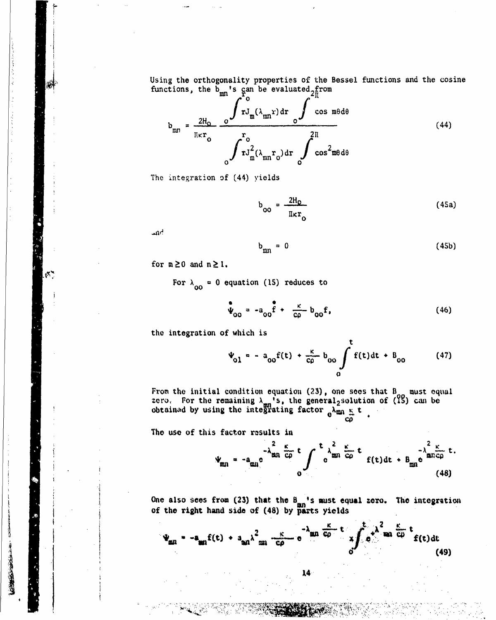Using the orthogonality properties of the Bessel functions and the cosine functions, the  $\overline{b}_{mn}$ 's can be evaluated  $2\overline{f}_1^{\text{from}}$ 

$$
b_{mn} = \frac{2H_0}{\pi r_0} \frac{\int rJ_m(\lambda_{mn}r) dr}{\int rJ_m^2(\lambda_{mn}r_0) dr} \frac{\int \cos m\theta d\theta}{\int rJ_m^2(\lambda_{mn}r_0) dr}
$$
(44)

The integration of (44) yields

$$
b_{oo} = \frac{2H_0}{\pi \kappa r_o}
$$
 (45a)

 $\mathbf{m}$ 

 $\mathcal{C}^{\bullet}$ 

$$
b_{mn} = 0 \tag{45b}
$$

for  $m \geq 0$  and  $n \geq 1$ .

For  $\lambda_{00} = 0$  equation (15) reduces to

$$
\mathbf{\hat{\Psi}}_{\text{OO}} = -a_{\text{OO}} \mathbf{\hat{f}} + \frac{\kappa}{c\rho} b_{\text{OO}} \mathbf{f}, \qquad (46)
$$

the integration of which is

t  $V_{01} = -a_{00}f(t) + \frac{K}{c\rho}b_{00} \int f(t)dt + B_{00}$  (47)

**co**

From the initial condition equation (23), one sees that  $B_{\alpha\alpha}$  must equal zero, For the remaining  $\lambda_{\text{max}}$ 's, the general, solution of (13) can be obtained by using the integrating factor

The use of this factor results in

'14

$$
\Psi_{\text{min}} = -a_{\text{min}} e^{-\lambda_{\text{min}}^2} \frac{\kappa}{c\rho} t \int_0^t e^{\lambda_{\text{min}}^2} \frac{\kappa}{c\rho} t \int_0^t f(t) dt + B_{\text{min}} e^{\lambda_{\text{min}}^2 c\rho} t.
$$
\n(48)

One also sees from (23) that the **B.** 's must equal **zero.** The **integration** of the right hand side of (48) by parts yields<br>  $\begin{array}{ccc}\n & -\lambda & \xrightarrow{\kappa} & \lambda^2 & \xrightarrow{\kappa} & \lambda^2\n\end{array}$ 

$$
\Psi_{\text{min}} = -a_{\text{min}}f(t) + a_{\text{min}}\lambda^2_{\text{min}} \frac{1}{c\rho} - e^{-\lambda_{\text{min}}}\frac{\kappa}{c\rho}t \int_{0}^{t} e^{\lambda^2_{\text{min}}}\frac{\kappa}{c\rho}t f(t)dt
$$
\n(49)

14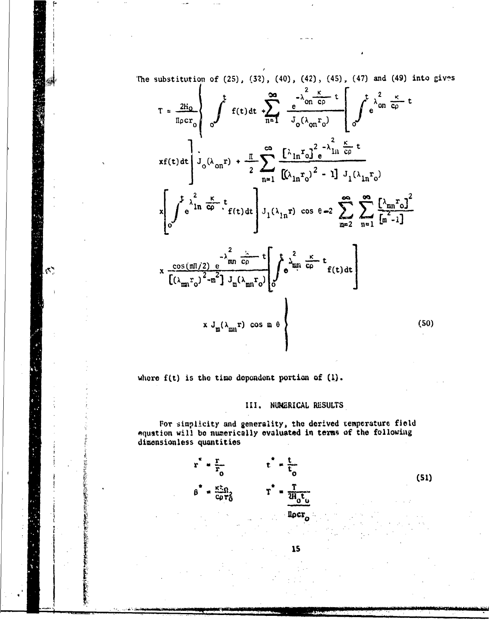The substitution of  $(25)$ ,  $(32)$ ,  $(40)$ ,  $(42)$ ,  $(45)$ ,  $(47)$  and  $(49)$  into gives

$$
T = \frac{2h_0}{h_0cr_0} \left\{ \int_{0}^{t} f(t) dt + \sum_{n=1}^{\infty} \frac{e^{-\lambda_{on}^{2} \frac{\kappa}{c\rho} t}}{J_0(\lambda_{on}r_0)} \left[ \int_{0}^{t} e^{\lambda_{on}^{2} \frac{\kappa}{c\rho} t} dt \right] \right\}
$$
  
\n
$$
xf(t) dt \left\{ J_0(\lambda_{on}r) + \frac{\pi}{2} \sum_{n=1}^{\infty} \frac{\left[ \lambda_{1n}r_0 \right]^{2} e^{-\lambda_{1n}^{2} \frac{\kappa}{c\rho} t}}{\left[ (\lambda_{1n}r_0)^{2} - 1 \right] J_1(\lambda_{1n}r_0)}
$$
  
\n
$$
x \left\{ \int_{0}^{t} e^{\lambda_{1n}^{2} \frac{\kappa}{c\rho} t} f(t) dt \right\} J_1(\lambda_{1n}r) \cos \theta = 2 \sum_{m=2}^{\infty} \sum_{n=1}^{\infty} \frac{\left[ \lambda_{mn}r_0 \right]^{2}}{\left[ (n-1) \right] J_1(\lambda_{1n}r_0)}
$$
  
\n
$$
x \frac{\cos(m\pi/2) e^{-\lambda_{mn}^{2} \frac{\kappa}{c\rho} t}}{\left[ (\lambda_{mn}r_0)^{2} - n^{2} \right] J_m(\lambda_{mn}r_0)} \left[ \int_{0}^{t} e^{\lambda_{mn}^{2} \frac{\kappa}{c\rho} t} f(t) dt \right]
$$
  
\n
$$
x J_m(\lambda_{mn}r) \cos m \theta
$$
 (50)

where  $f(t)$  is the time dependent portion of  $(l)$ .

 $\mathcal{S}^{\star}_{\mathcal{P}}$ 

III. NUMERICAL RESULTS

15

For simplicity and generality, the derived temperature field<br>equation will be numerically evaluated in terms of the following dimensionless quantities



 $(51)$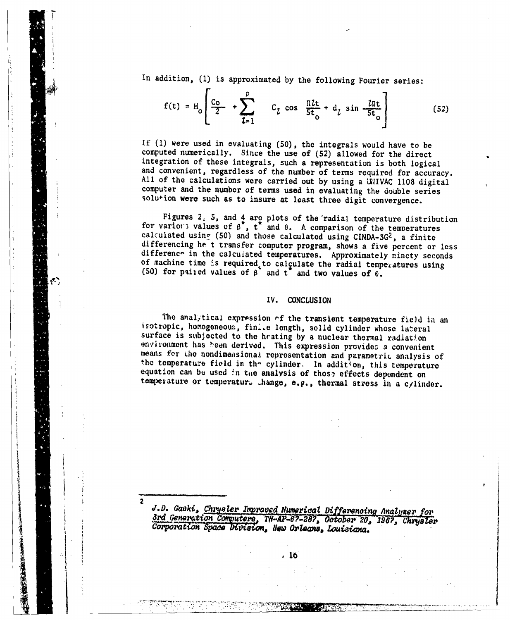In addition, (1) is approximated by the following Fourier series:

$$
f(t) = H_0 \left[ \frac{C_0}{2} + \sum_{l=1}^{\rho} C_l \cos \frac{\pi l t}{5t_0} + d_l \sin \frac{l \pi t}{5t_0} \right]
$$
 (52)

If (1) were used in evaluating (50), the integrals would have to be computed numerically. Since the use of (52) allowed for the direct integration of these integrals, such a representation is both logical and convenient, regardless of the number of terms required for accuracy. All of the calculations were carried out by using a UNIVAC 1108 digital computer and the number of terms used in evaluating the double series solution were such as to insure at least three digit convergence.

Figures  $2.5$ , and  $4$  are plots of the radial temperature distribution for various values of  $\beta^*$ ,  $t^*$  and  $\theta$ . A comparison of the temperatures calculated using (50) and those calculated using CINDA-3G<sup>2</sup>, a finite differencing he't transfer computer program, shows a five percent or less difference in the calculated temperatures. Approximately ninety seconds of machine time is required to calculate the radial temperatures using (50) for paired values of  $\beta^*$  and  $t^*$  and two values of  $\theta$ .

### $IV.$ **CONCLUSION**

The analytical expression of the transient temperature field in an isotropic, homogeneous, finite length, solid cylinder whose lateral surface is subjected to the heating by a nuclear thermal radiation environment has been derived. This expression provides a convenient means for the nondimensional representation and parametric analysis of the temperature field in the cylinder. In addition, this temperature equation can be used in the analysis of those effects dependent on temperature or temperature change, e.g., thermal stress in a cylinder.

J.D. Gaski, Chrysler Improved Numerical Differencing Analyzer for 3rd Generation Computere, TN-AP-67-287, October 20, 1967, Chrysler Corporation Space Division, New Orleans, Louisiana.

. 16

美食者的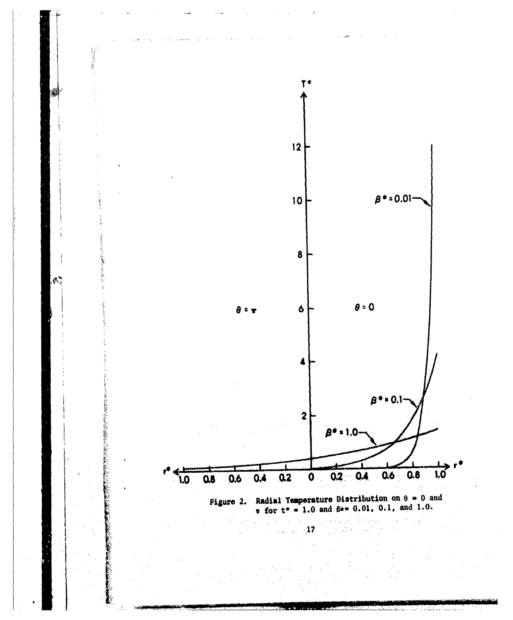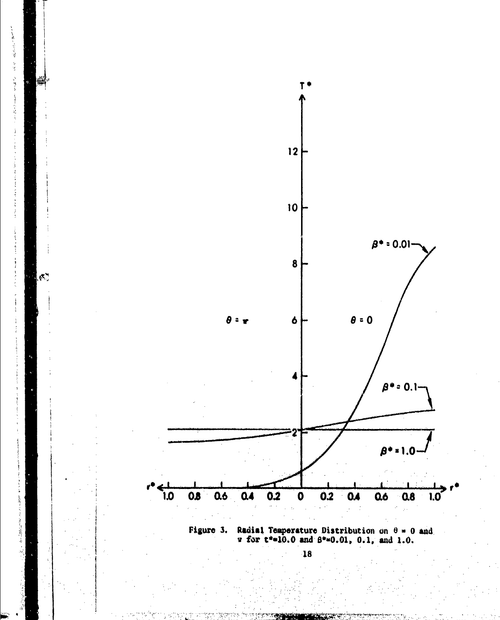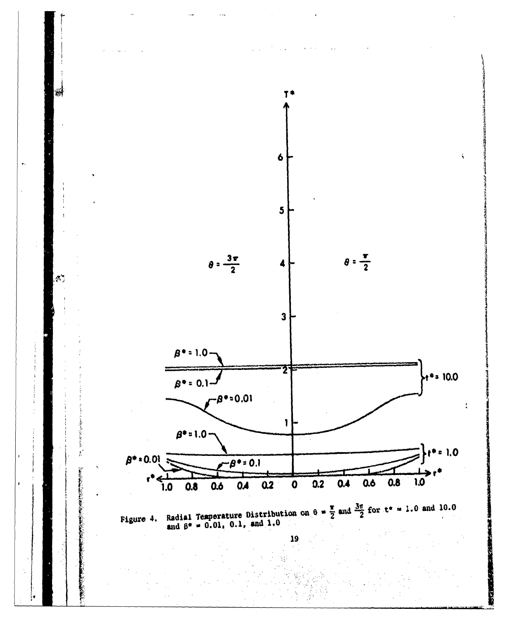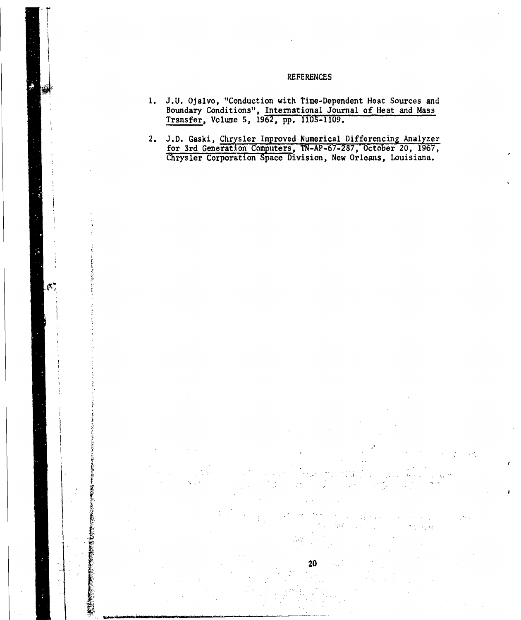## REFERENCES

- **1.** J.U. Ojalvo, "Conduction with Time-Dependent Heat Sources and Boundary Conditions", International Journal of Heat and Mass Transfer, Volume 5, 1962, pp. 1105-1109.
- 2. J.D. Gaski, Chrysler Improved Numerical Differencing Analyzer for 3rd Generation Computers, TN-AP-67-287, October 20, 1967 Chrysler Corporation Space Division, New Orleans, Louisiana.

V e

۴.

20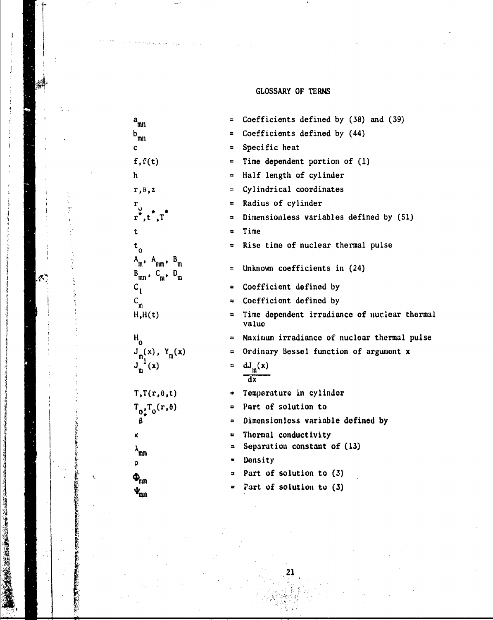# GLOSSARY OF TERMS

|                       | $a_{mn}$                                                     | $\equiv$                 | Coefficients defined by (38) and (39)                 |
|-----------------------|--------------------------------------------------------------|--------------------------|-------------------------------------------------------|
|                       | $\mathbf{b}_{\text{mn}}$                                     | $\equiv$                 | Coefficients defined by (44)                          |
|                       | c                                                            | Ξ                        | Specific heat                                         |
|                       | f, f(t)                                                      | a.                       | Time dependent portion of (1)                         |
|                       | ħ                                                            | Ξ.                       | Half length of cylinder                               |
|                       | $r, \theta, z$                                               | $\equiv$                 | Cylindrical coordinates                               |
| $\tilde{\mathcal{L}}$ |                                                              |                          | Radius of cylinder                                    |
| èr                    | $\sum_{\mathbf{r}^*, \mathbf{t}^*, \mathbf{T}}^{\mathbf{r}}$ | E.                       | Dimensionless variables defined by (51)               |
|                       | t                                                            | $\equiv$                 | Time                                                  |
|                       | $\mathbf{t}_{_{\mathrm{0}}}$                                 | $\equiv$                 | Rise time of nuclear thermal pulse                    |
|                       | $A_m$ , $A_{mn}$ , $B_m$<br>$B_{mn}$ , $C_{m}$ , $D_{m}$     | Ħ                        | Unknown coefficients in (24)                          |
|                       | $c_{1}$                                                      | $\blacksquare$           | Coefficient defined by                                |
|                       | $C_{\mathfrak{m}}$                                           | $\overline{u}$           | Coefficient defined by                                |
|                       | H,H(t)                                                       | $\blacksquare$           | Time dependent irradiance of nuclear therms.<br>value |
|                       | $^{\mathsf{H}}\mathsf{o}$                                    | $\overline{\phantom{a}}$ | Maximum irradiance of nuclear thermal pulse           |
|                       | $J_{m_1}(x)$ , $Y_m(x)$                                      | ₽                        | Ordinary Bessel function of argument x                |
|                       | $J_{m}^{1}(x)$                                               | $\equiv$                 | $dJ_{m}(x)$<br>$\overline{dx}$                        |
|                       | $T,T(r,\theta,t)$                                            | ٠                        | Temperature in cylinder                               |
|                       | $T_{0_*^1}T_0(r,\theta)$                                     | 8                        | Part of solution to                                   |
|                       | β                                                            | $\bullet$                | Dimensionless variable defined by                     |
| 一方 あげるなどがを変えない        | κ                                                            | $\overline{\mathbf{u}}$  | Thermal conductivity                                  |
|                       | እ<br>መገ                                                      | ÷                        | Separation constant of (13)                           |
|                       | ٥                                                            | $\blacksquare$           | Density                                               |
| λ.                    | $\Phi_{mn}$                                                  |                          | Part of solution to (3)                               |
|                       | $\mathbf{v}_{\texttt{mn}}$                                   |                          | Part of solution to (3)                               |
|                       |                                                              |                          |                                                       |
|                       |                                                              |                          |                                                       |

 $\mathbf{F} = \mathbf{F} \mathbf{F}$  , where  $\mathbf{F} = \mathbf{F} \mathbf{F}$  , where  $\mathbf{F} = \mathbf{F} \mathbf{F}$  , where  $\mathbf{F} = \mathbf{F} \mathbf{F}$ 

ie in de la provincia de la provincia de la provincia de la provincia de la provincia de la provincia de la pr<br>Iraque de la provincia de la provincia de la provincia de la provincia de la provincia de la provincia de la p

.4

i in the

**CONTRACTOR** 

**PARK TANKING** 

**Contractor** 

đ  $\frac{1}{2}$ 

j

À

 $\ddot{\phantom{1}}$ 

鹩

 $\mathcal{S}_i$